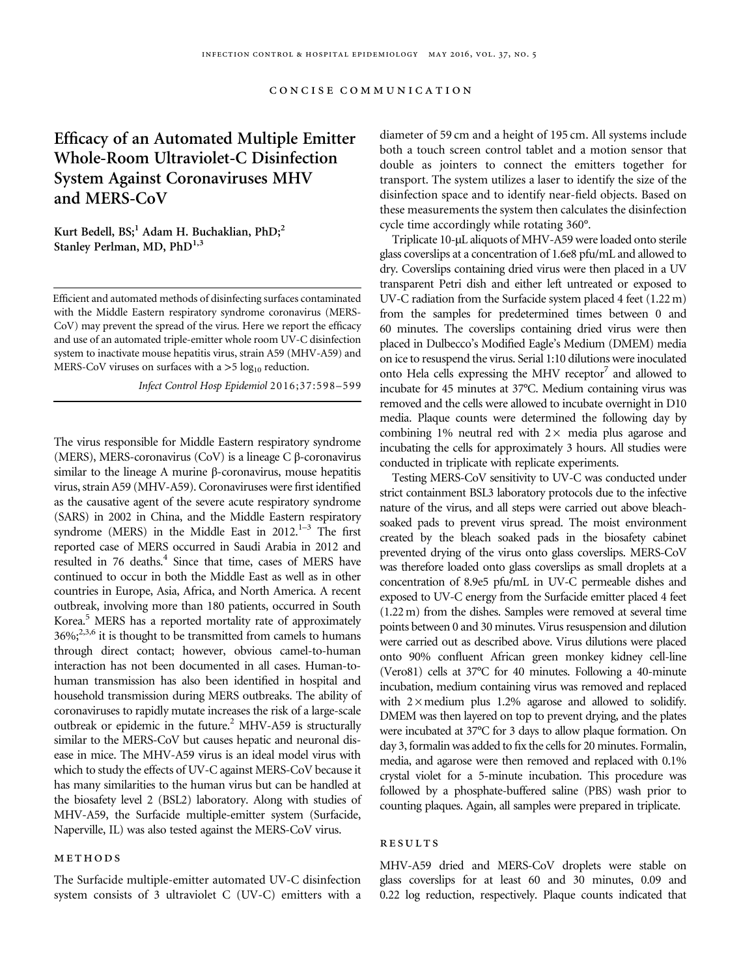# Efficacy of an Automated Multiple Emitter Whole-Room Ultraviolet-C Disinfection System Against Coronaviruses MHV and MERS-CoV

Kurt Bedell,  $BS<sub>i</sub><sup>1</sup>$  Adam H. Buchaklian,  $PhD<sub>i</sub><sup>2</sup>$ Stanley Perlman, MD, PhD<sup>1,3</sup>

Efficient and automated methods of disinfecting surfaces contaminated with the Middle Eastern respiratory syndrome coronavirus (MERS-CoV) may prevent the spread of the virus. Here we report the efficacy and use of an automated triple-emitter whole room UV-C disinfection system to inactivate mouse hepatitis virus, strain A59 (MHV-A59) and MERS-CoV viruses on surfaces with a  $>5 \log_{10}$  reduction.

Infect Control Hosp Epidemiol 2016;37:598–599

The virus responsible for Middle Eastern respiratory syndrome (MERS), MERS-coronavirus (CoV) is a lineage C β-coronavirus similar to the lineage A murine β-coronavirus, mouse hepatitis virus, strain A59 (MHV-A59). Coronaviruses were first identified as the causative agent of the severe acute respiratory syndrome (SARS) in 2002 in China, and the Middle Eastern respiratory syndrome (MERS) in the Middle East in 2012. $1-3$  $1-3$  The first reported case of MERS occurred in Saudi Arabia in 2012 and resulted in 76 deaths.<sup>[4](#page-1-0)</sup> Since that time, cases of MERS have continued to occur in both the Middle East as well as in other countries in Europe, Asia, Africa, and North America. A recent outbreak, involving more than 180 patients, occurred in South Korea.<sup>5</sup> MERS has a reported mortality rate of approximately  $36\%$ ;<sup>2,3,6</sup> it is thought to be transmitted from camels to humans through direct contact; however, obvious camel-to-human interaction has not been documented in all cases. Human-tohuman transmission has also been identified in hospital and household transmission during MERS outbreaks. The ability of coronaviruses to rapidly mutate increases the risk of a large-scale outbreak or epidemic in the future.<sup>2</sup> MHV-A59 is structurally similar to the MERS-CoV but causes hepatic and neuronal disease in mice. The MHV-A59 virus is an ideal model virus with which to study the effects of UV-C against MERS-CoV because it has many similarities to the human virus but can be handled at the biosafety level 2 (BSL2) laboratory. Along with studies of MHV-A59, the Surfacide multiple-emitter system (Surfacide, Naperville, IL) was also tested against the MERS-CoV virus.

#### methods

The Surfacide multiple-emitter automated UV-C disinfection system consists of 3 ultraviolet C (UV-C) emitters with a

diameter of 59 cm and a height of 195 cm. All systems include both a touch screen control tablet and a motion sensor that double as jointers to connect the emitters together for transport. The system utilizes a laser to identify the size of the disinfection space and to identify near-field objects. Based on these measurements the system then calculates the disinfection cycle time accordingly while rotating 360°.

Triplicate 10-µL aliquots of MHV-A59 were loaded onto sterile glass coverslips at a concentration of 1.6e8 pfu/mL and allowed to dry. Coverslips containing dried virus were then placed in a UV transparent Petri dish and either left untreated or exposed to UV-C radiation from the Surfacide system placed 4 feet (1.22 m) from the samples for predetermined times between 0 and 60 minutes. The coverslips containing dried virus were then placed in Dulbecco's Modified Eagle's Medium (DMEM) media on ice to resuspend the virus. Serial 1:10 dilutions were inoculated onto Hela cells expressing the MHV receptor<sup>7</sup> and allowed to incubate for 45 minutes at 37°C. Medium containing virus was removed and the cells were allowed to incubate overnight in D10 media. Plaque counts were determined the following day by combining 1% neutral red with  $2 \times$  media plus agarose and incubating the cells for approximately 3 hours. All studies were conducted in triplicate with replicate experiments.

Testing MERS-CoV sensitivity to UV-C was conducted under strict containment BSL3 laboratory protocols due to the infective nature of the virus, and all steps were carried out above bleachsoaked pads to prevent virus spread. The moist environment created by the bleach soaked pads in the biosafety cabinet prevented drying of the virus onto glass coverslips. MERS-CoV was therefore loaded onto glass coverslips as small droplets at a concentration of 8.9e5 pfu/mL in UV-C permeable dishes and exposed to UV-C energy from the Surfacide emitter placed 4 feet (1.22 m) from the dishes. Samples were removed at several time points between 0 and 30 minutes. Virus resuspension and dilution were carried out as described above. Virus dilutions were placed onto 90% confluent African green monkey kidney cell-line (Vero81) cells at 37°C for 40 minutes. Following a 40-minute incubation, medium containing virus was removed and replaced with  $2 \times$  medium plus 1.2% agarose and allowed to solidify. DMEM was then layered on top to prevent drying, and the plates were incubated at 37°C for 3 days to allow plaque formation. On day 3, formalin was added to fix the cells for 20 minutes. Formalin, media, and agarose were then removed and replaced with 0.1% crystal violet for a 5-minute incubation. This procedure was followed by a phosphate-buffered saline (PBS) wash prior to counting plaques. Again, all samples were prepared in triplicate.

#### **RESULTS**

MHV-A59 dried and MERS-CoV droplets were stable on glass coverslips for at least 60 and 30 minutes, 0.09 and 0.22 log reduction, respectively. Plaque counts indicated that